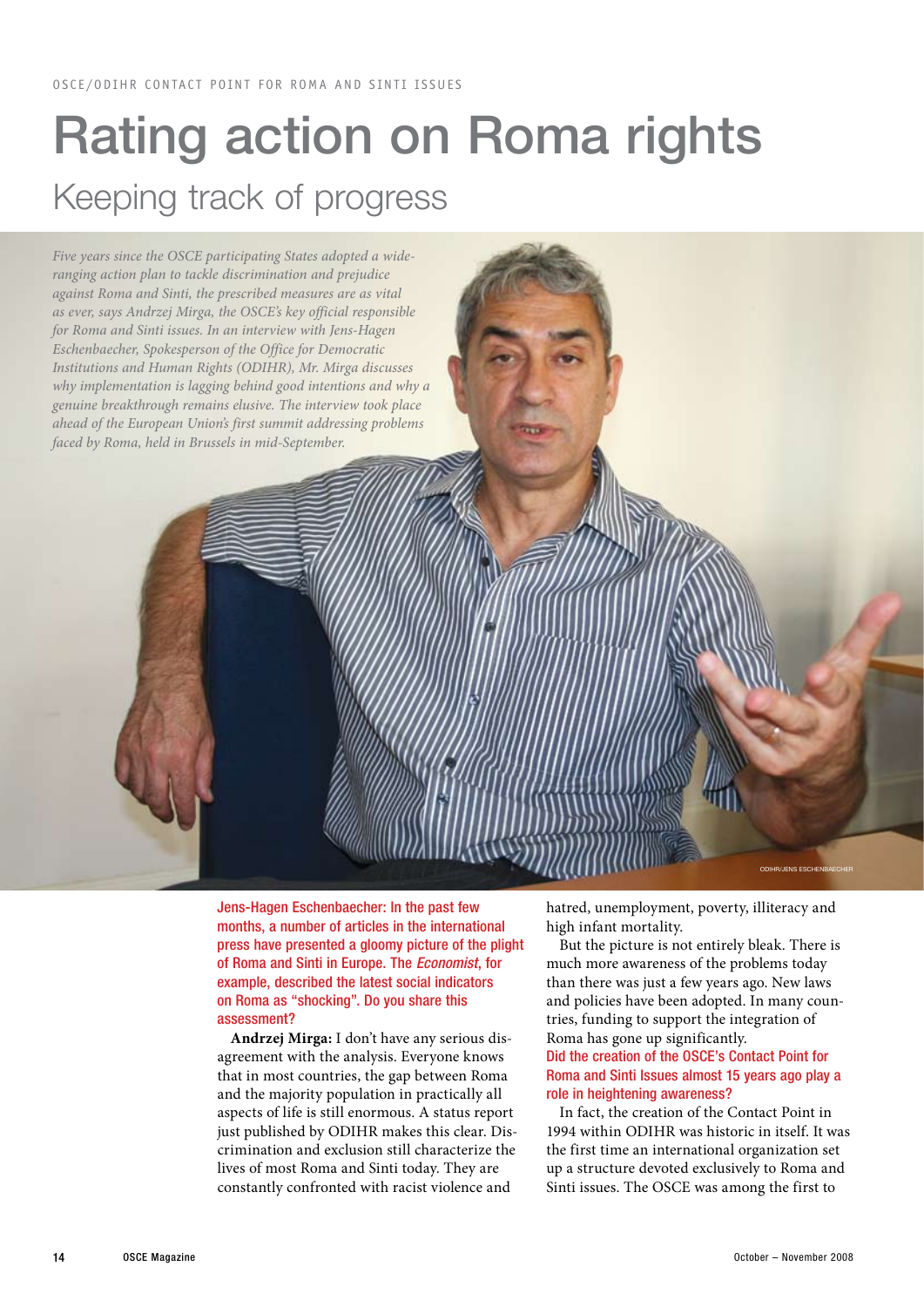## Rating action on Roma rights Keeping track of progress



Jens-Hagen Eschenbaecher: In the past few months, a number of articles in the international press have presented a gloomy picture of the plight of Roma and Sinti in Europe. The *Economist*, for example, described the latest social indicators on Roma as "shocking". Do you share this assessment?

**Andrzej Mirga:** I don't have any serious disagreement with the analysis. Everyone knows that in most countries, the gap between Roma and the majority population in practically all aspects of life is still enormous. A status report just published by ODIHR makes this clear. Discrimination and exclusion still characterize the lives of most Roma and Sinti today. They are constantly confronted with racist violence and

hatred, unemployment, poverty, illiteracy and high infant mortality.

But the picture is not entirely bleak. There is much more awareness of the problems today than there was just a few years ago. New laws and policies have been adopted. In many countries, funding to support the integration of Roma has gone up significantly. Did the creation of the OSCE's Contact Point for Roma and Sinti Issues almost 15 years ago play a role in heightening awareness?

In fact, the creation of the Contact Point in 1994 within ODIHR was historic in itself. It was the first time an international organization set up a structure devoted exclusively to Roma and Sinti issues. The OSCE was among the first to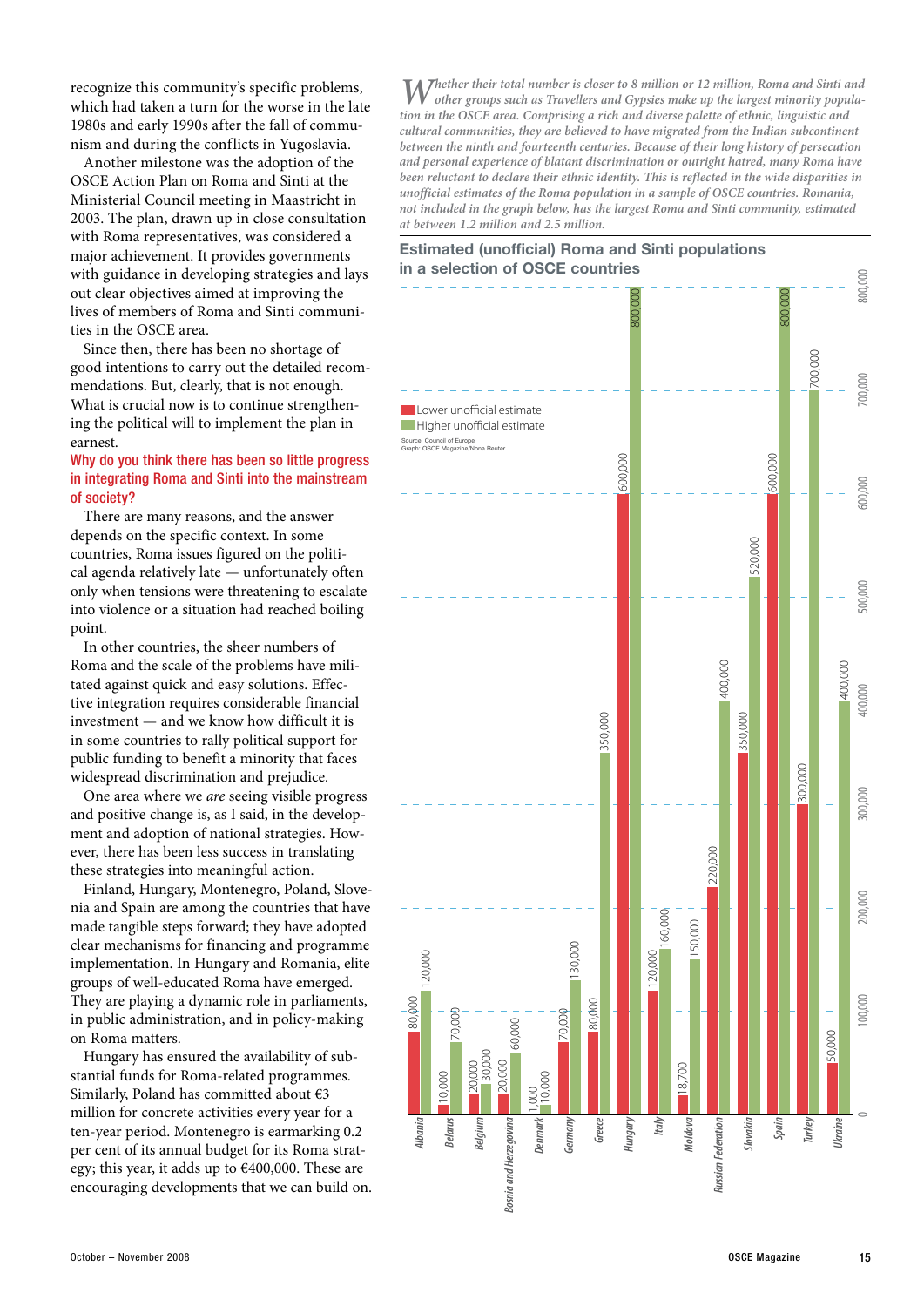recognize this community's specific problems, which had taken a turn for the worse in the late 1980s and early 1990s after the fall of communism and during the conflicts in Yugoslavia.

Another milestone was the adoption of the OSCE Action Plan on Roma and Sinti at the Ministerial Council meeting in Maastricht in 2003. The plan, drawn up in close consultation with Roma representatives, was considered a major achievement. It provides governments with guidance in developing strategies and lays out clear objectives aimed at improving the lives of members of Roma and Sinti communities in the OSCE area.

Since then, there has been no shortage of good intentions to carry out the detailed recommendations. But, clearly, that is not enough. What is crucial now is to continue strengthening the political will to implement the plan in earnest.

### Why do you think there has been so little progress in integrating Roma and Sinti into the mainstream of society?

There are many reasons, and the answer depends on the specific context. In some countries, Roma issues figured on the political agenda relatively late — unfortunately often only when tensions were threatening to escalate into violence or a situation had reached boiling point.

In other countries, the sheer numbers of Roma and the scale of the problems have militated against quick and easy solutions. Effective integration requires considerable financial investment — and we know how difficult it is in some countries to rally political support for public funding to benefit a minority that faces widespread discrimination and prejudice.

One area where we *are* seeing visible progress and positive change is, as I said, in the development and adoption of national strategies. However, there has been less success in translating these strategies into meaningful action.

Finland, Hungary, Montenegro, Poland, Slovenia and Spain are among the countries that have made tangible steps forward; they have adopted clear mechanisms for financing and programme implementation. In Hungary and Romania, elite groups of well-educated Roma have emerged. They are playing a dynamic role in parliaments, in public administration, and in policy-making on Roma matters.

Hungary has ensured the availability of substantial funds for Roma-related programmes. Similarly, Poland has committed about €3 million for concrete activities every year for a ten-year period. Montenegro is earmarking 0.2 per cent of its annual budget for its Roma strategy; this year, it adds up to  $€400,000$ . These are encouraging developments that we can build on.

*Whether their total number is closer to 8 million or 12 million, Roma and Sinti and other groups such as Travellers and Gypsies make up the largest minority population in the OSCE area. Comprising a rich and diverse palette of ethnic, linguistic and cultural communities, they are believed to have migrated from the Indian subcontinent between the ninth and fourteenth centuries. Because of their long history of persecution and personal experience of blatant discrimination or outright hatred, many Roma have been reluctant to declare their ethnic identity. This is reflected in the wide disparities in unofficial estimates of the Roma population in a sample of OSCE countries. Romania, not included in the graph below, has the largest Roma and Sinti community, estimated at between 1.2 million and 2.5 million.*

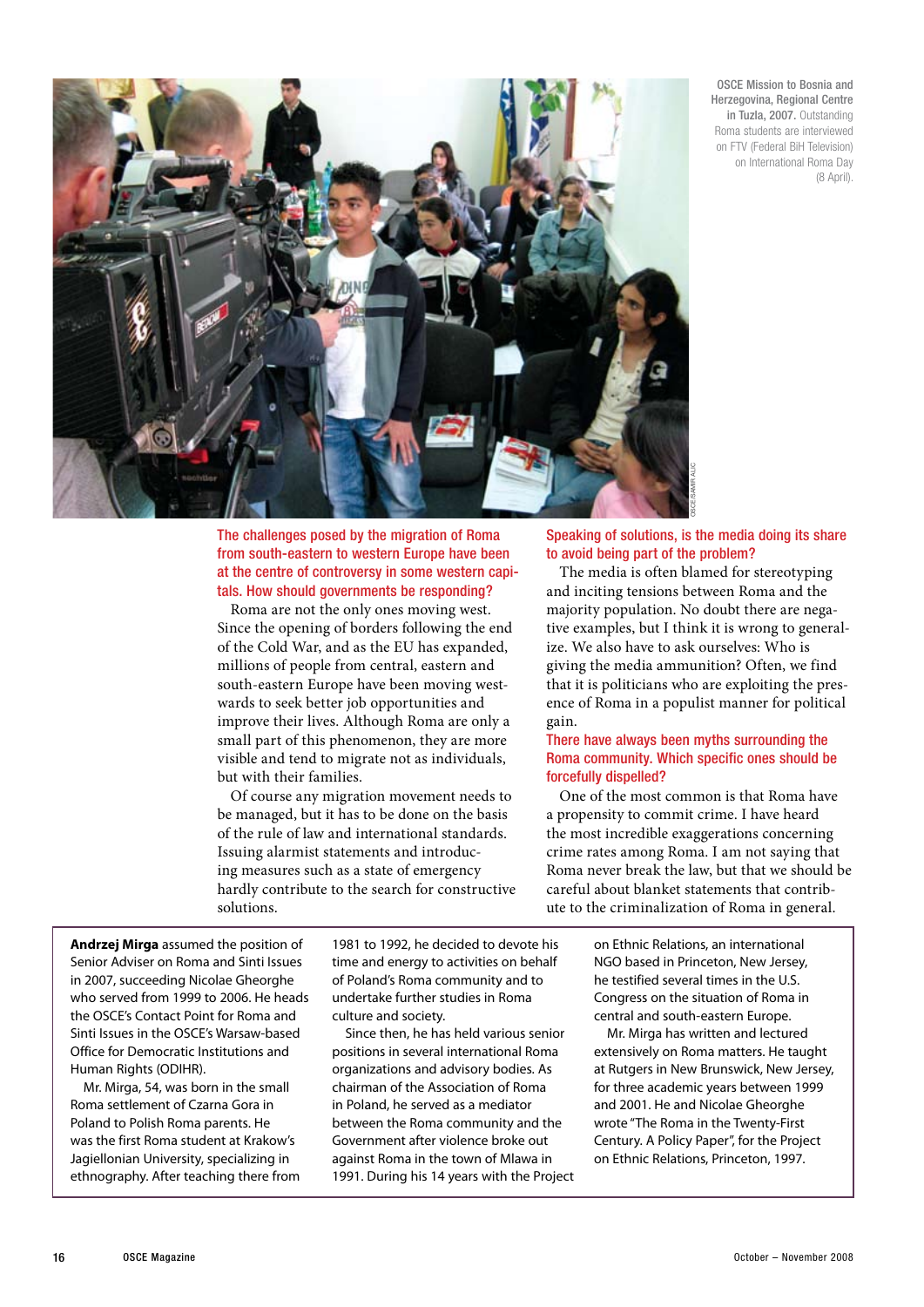OSCE Mission to Bosnia and Herzegovina, Regional Centre in Tuzla, 2007. Outstanding Roma students are interviewed on FTV (Federal BiH Television) on International Roma Day (8 April).



The challenges posed by the migration of Roma from south-eastern to western Europe have been at the centre of controversy in some western capitals. How should governments be responding?

Roma are not the only ones moving west. Since the opening of borders following the end of the Cold War, and as the EU has expanded, millions of people from central, eastern and south-eastern Europe have been moving westwards to seek better job opportunities and improve their lives. Although Roma are only a small part of this phenomenon, they are more visible and tend to migrate not as individuals, but with their families.

Of course any migration movement needs to be managed, but it has to be done on the basis of the rule of law and international standards. Issuing alarmist statements and introducing measures such as a state of emergency hardly contribute to the search for constructive solutions.

Speaking of solutions, is the media doing its share to avoid being part of the problem?

The media is often blamed for stereotyping and inciting tensions between Roma and the majority population. No doubt there are negative examples, but I think it is wrong to generalize. We also have to ask ourselves: Who is giving the media ammunition? Often, we find that it is politicians who are exploiting the presence of Roma in a populist manner for political gain.

### There have always been myths surrounding the Roma community. Which specific ones should be forcefully dispelled?

One of the most common is that Roma have a propensity to commit crime. I have heard the most incredible exaggerations concerning crime rates among Roma. I am not saying that Roma never break the law, but that we should be careful about blanket statements that contribute to the criminalization of Roma in general.

**Andrzej Mirga** assumed the position of Senior Adviser on Roma and Sinti Issues in 2007, succeeding Nicolae Gheorghe who served from 1999 to 2006. He heads the OSCE's Contact Point for Roma and Sinti Issues in the OSCE's Warsaw-based Office for Democratic Institutions and Human Rights (ODIHR).

Mr. Mirga, 54, was born in the small Roma settlement of Czarna Gora in Poland to Polish Roma parents. He was the first Roma student at Krakow's Jagiellonian University, specializing in ethnography. After teaching there from 1981 to 1992, he decided to devote his time and energy to activities on behalf of Poland's Roma community and to undertake further studies in Roma culture and society.

Since then, he has held various senior positions in several international Roma organizations and advisory bodies. As chairman of the Association of Roma in Poland, he served as a mediator between the Roma community and the Government after violence broke out against Roma in the town of Mlawa in 1991. During his 14 years with the Project on Ethnic Relations, an international NGO based in Princeton, New Jersey, he testified several times in the U.S. Congress on the situation of Roma in central and south-eastern Europe.

Mr. Mirga has written and lectured extensively on Roma matters. He taught at Rutgers in New Brunswick, New Jersey, for three academic years between 1999 and 2001. He and Nicolae Gheorghe wrote "The Roma in the Twenty-First Century. A Policy Paper", for the Project on Ethnic Relations, Princeton, 1997.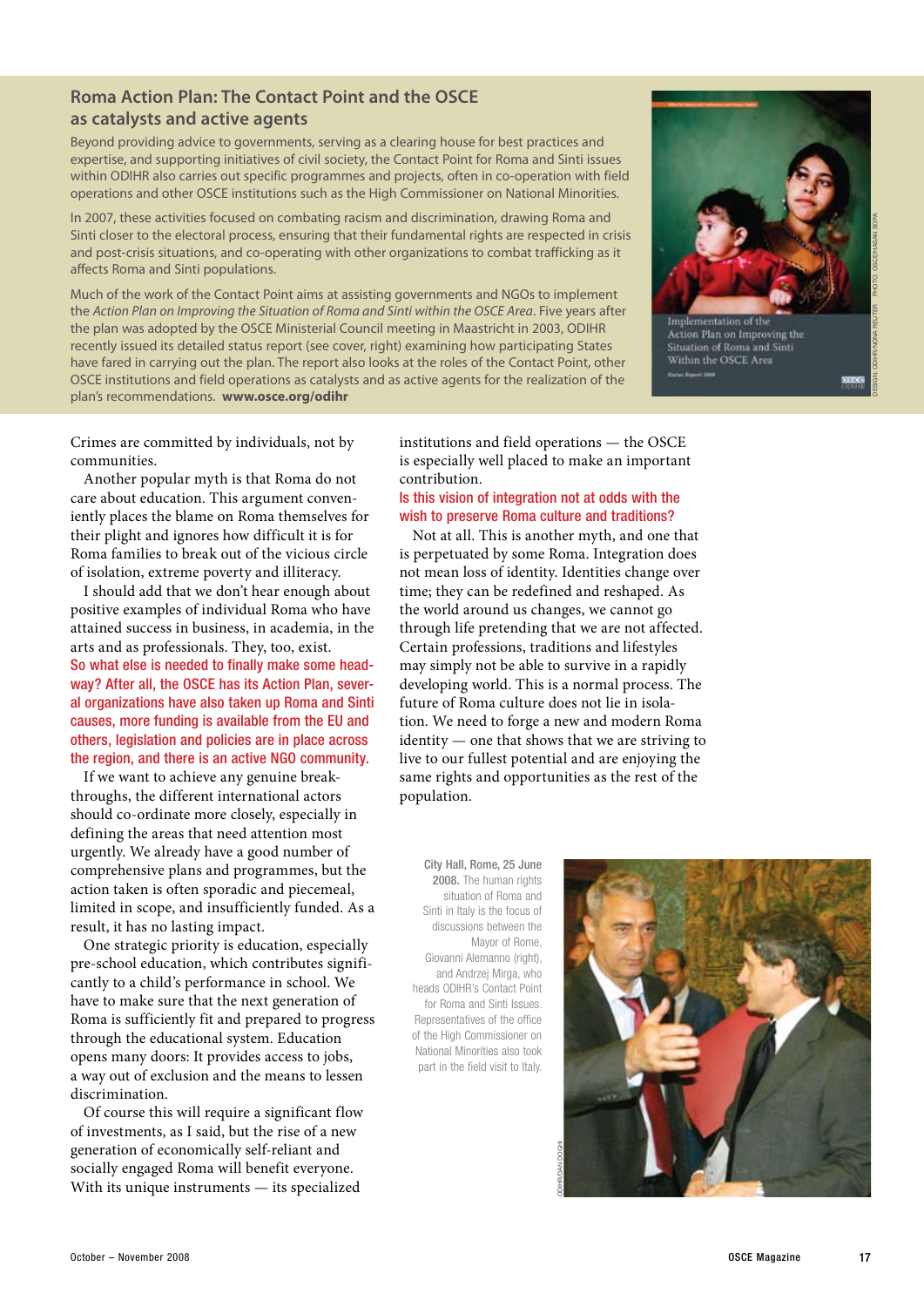### **Roma Action Plan: The Contact Point and the OSCE as catalysts and active agents**

Beyond providing advice to governments, serving as a clearing house for best practices and expertise, and supporting initiatives of civil society, the Contact Point for Roma and Sinti issues within ODIHR also carries out specific programmes and projects, often in co-operation with field operations and other OSCE institutions such as the High Commissioner on National Minorities.

In 2007, these activities focused on combating racism and discrimination, drawing Roma and Sinti closer to the electoral process, ensuring that their fundamental rights are respected in crisis and post-crisis situations, and co-operating with other organizations to combat trafficking as it affects Roma and Sinti populations.

Much of the work of the Contact Point aims at assisting governments and NGOs to implement the *Action Plan on Improving the Situation of Roma and Sinti within the OSCE Area*. Five years after the plan was adopted by the OSCE Ministerial Council meeting in Maastricht in 2003, ODIHR recently issued its detailed status report (see cover, right) examining how participating States have fared in carrying out the plan. The report also looks at the roles of the Contact Point, other OSCE institutions and field operations as catalysts and as active agents for the realization of the plan's recommendations. **www.osce.org/odihr**



Implementation of the Action Plan on Improving the Situation of Roma and Sinti Within the OSCE Area

Design: ODIHR/Nona Reuter Photo: OSCE/Hasan Sopa

Crimes are committed by individuals, not by communities.

Another popular myth is that Roma do not care about education. This argument conveniently places the blame on Roma themselves for their plight and ignores how difficult it is for Roma families to break out of the vicious circle of isolation, extreme poverty and illiteracy.

I should add that we don't hear enough about positive examples of individual Roma who have attained success in business, in academia, in the arts and as professionals. They, too, exist. So what else is needed to finally make some headway? After all, the OSCE has its Action Plan, several organizations have also taken up Roma and Sinti causes, more funding is available from the EU and others, legislation and policies are in place across the region, and there is an active NGO community.

If we want to achieve any genuine breakthroughs, the different international actors should co-ordinate more closely, especially in defining the areas that need attention most urgently. We already have a good number of comprehensive plans and programmes, but the action taken is often sporadic and piecemeal, limited in scope, and insufficiently funded. As a result, it has no lasting impact.

One strategic priority is education, especially pre-school education, which contributes significantly to a child's performance in school. We have to make sure that the next generation of Roma is sufficiently fit and prepared to progress through the educational system. Education opens many doors: It provides access to jobs, a way out of exclusion and the means to lessen discrimination.

Of course this will require a significant flow of investments, as I said, but the rise of a new generation of economically self-reliant and socially engaged Roma will benefit everyone. With its unique instruments — its specialized

institutions and field operations — the OSCE is especially well placed to make an important contribution.

### Is this vision of integration not at odds with the wish to preserve Roma culture and traditions?

Not at all. This is another myth, and one that is perpetuated by some Roma. Integration does not mean loss of identity. Identities change over time; they can be redefined and reshaped. As the world around us changes, we cannot go through life pretending that we are not affected. Certain professions, traditions and lifestyles may simply not be able to survive in a rapidly developing world. This is a normal process. The future of Roma culture does not lie in isolation. We need to forge a new and modern Roma identity — one that shows that we are striving to live to our fullest potential and are enjoying the same rights and opportunities as the rest of the population.

City Hall, Rome, 25 June 2008. The human rights situation of Roma and Sinti in Italy is the focus of discussions between the Mayor of Rome, Giovanni Alemanno (right), and Andrzej Mirga, who heads ODIHR's Contact Point for Roma and Sinti Issues. Representatives of the office of the High Commissioner on National Minorities also took part in the field visit to Italy.

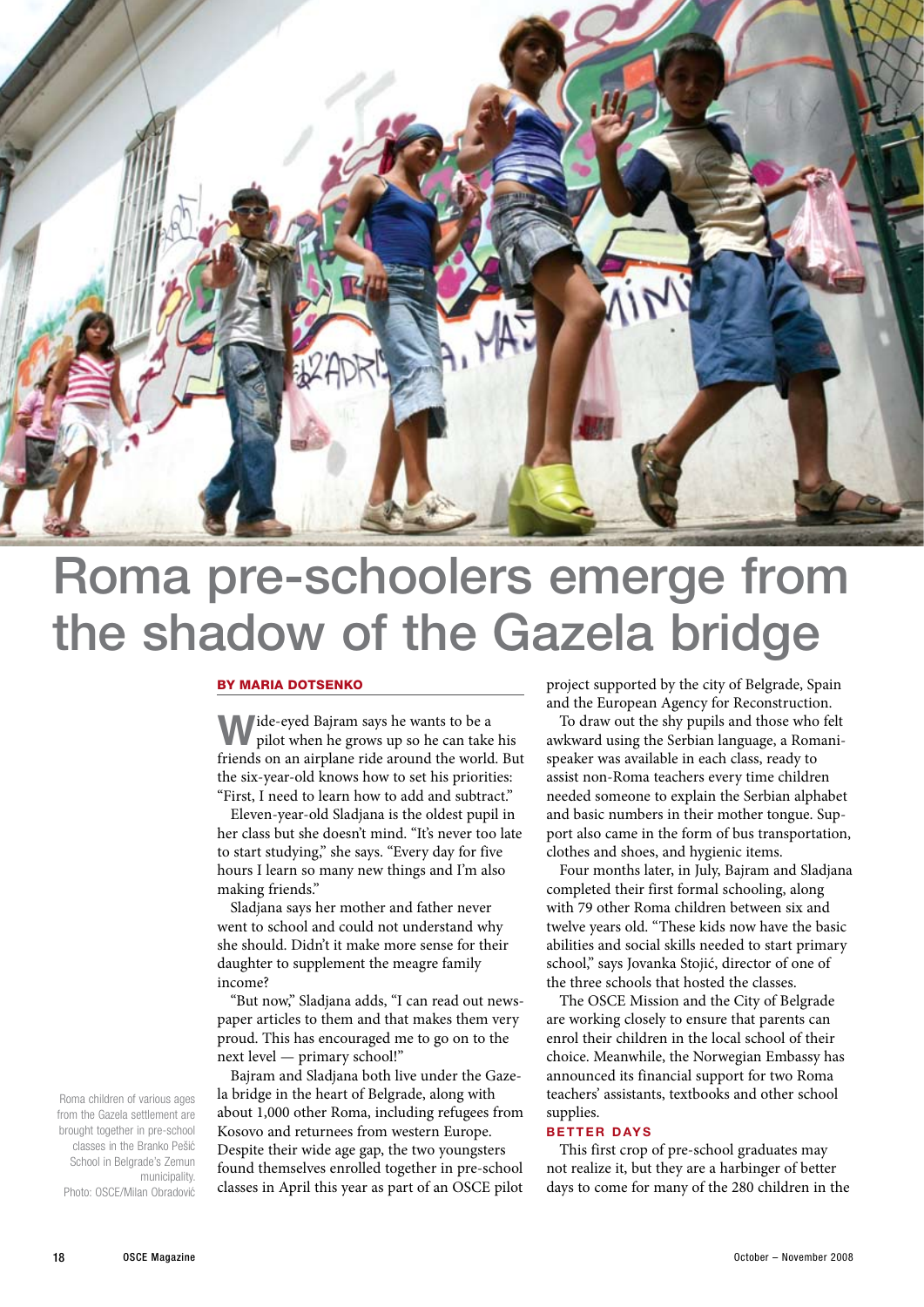

### Roma pre-schoolers emerge from the shadow of the Gazela bridge

#### By Maria Dotsenko

**Wide-eyed Bajram says he wants to be a** pilot when he grows up so he can take his friends on an airplane ride around the world. But the six-year-old knows how to set his priorities: "First, I need to learn how to add and subtract."

Eleven-year-old Sladjana is the oldest pupil in her class but she doesn't mind. "It's never too late to start studying," she says. "Every day for five hours I learn so many new things and I'm also making friends."

Sladjana says her mother and father never went to school and could not understand why she should. Didn't it make more sense for their daughter to supplement the meagre family income?

"But now," Sladjana adds, "I can read out newspaper articles to them and that makes them very proud. This has encouraged me to go on to the next level — primary school!"

Bajram and Sladjana both live under the Gazela bridge in the heart of Belgrade, along with about 1,000 other Roma, including refugees from Kosovo and returnees from western Europe. Despite their wide age gap, the two youngsters found themselves enrolled together in pre-school classes in April this year as part of an OSCE pilot

project supported by the city of Belgrade, Spain and the European Agency for Reconstruction.

To draw out the shy pupils and those who felt awkward using the Serbian language, a Romanispeaker was available in each class, ready to assist non-Roma teachers every time children needed someone to explain the Serbian alphabet and basic numbers in their mother tongue. Support also came in the form of bus transportation, clothes and shoes, and hygienic items.

Four months later, in July, Bajram and Sladjana completed their first formal schooling, along with 79 other Roma children between six and twelve years old. "These kids now have the basic abilities and social skills needed to start primary school," says Jovanka Stojić, director of one of the three schools that hosted the classes.

The OSCE Mission and the City of Belgrade are working closely to ensure that parents can enrol their children in the local school of their choice. Meanwhile, the Norwegian Embassy has announced its financial support for two Roma teachers' assistants, textbooks and other school supplies.

### **B et ter d ays**

This first crop of pre-school graduates may not realize it, but they are a harbinger of better days to come for many of the 280 children in the

Roma children of various ages from the Gazela settlement are brought together in pre-school classes in the Branko Pešić School in Belgrade's Zemun municipality. Photo: OSCE/Milan Obradović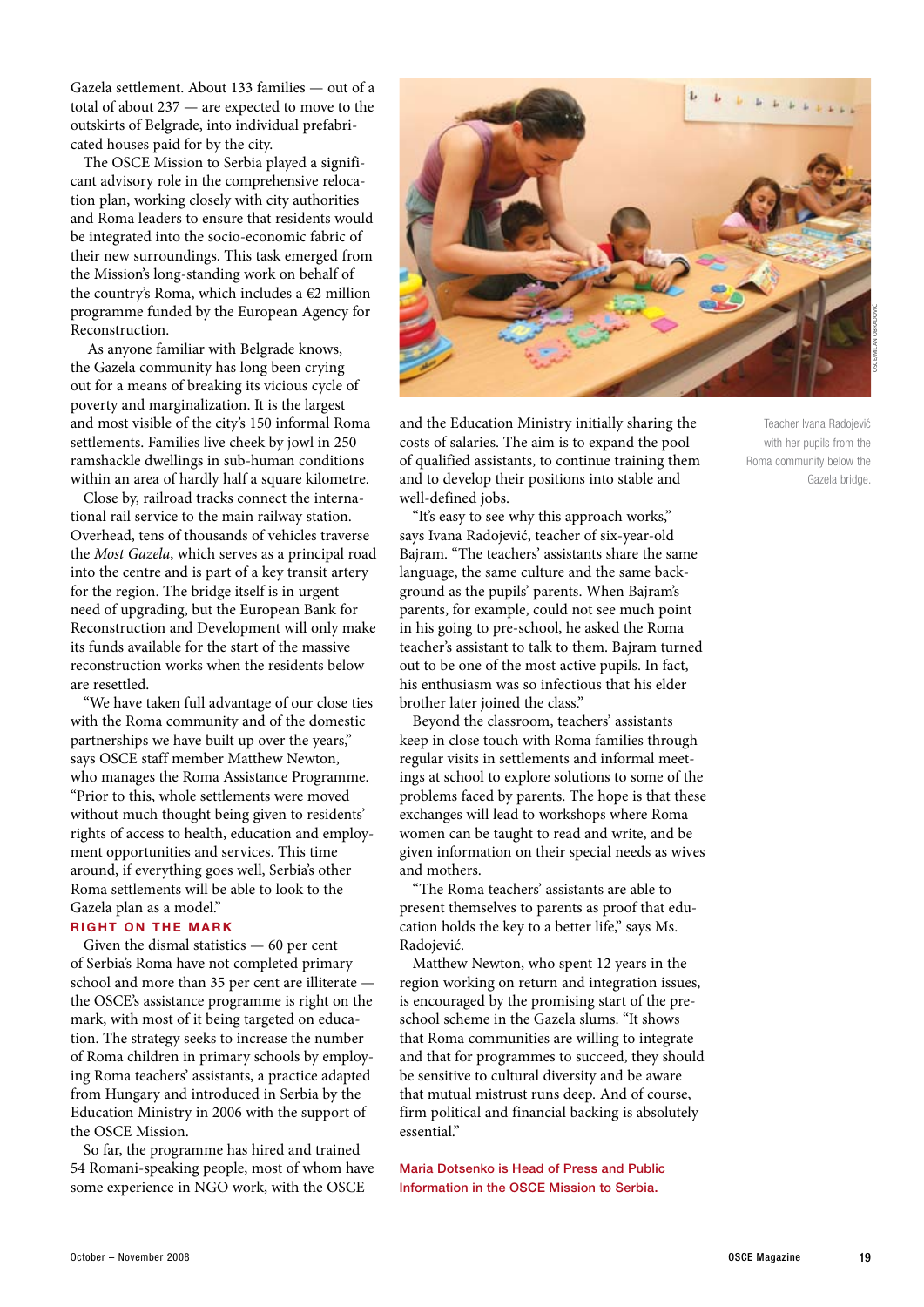Gazela settlement. About 133 families — out of a total of about 237 — are expected to move to the outskirts of Belgrade, into individual prefabricated houses paid for by the city.

The OSCE Mission to Serbia played a significant advisory role in the comprehensive relocation plan, working closely with city authorities and Roma leaders to ensure that residents would be integrated into the socio-economic fabric of their new surroundings. This task emerged from the Mission's long-standing work on behalf of the country's Roma, which includes a  $\epsilon$ 2 million programme funded by the European Agency for Reconstruction.

 As anyone familiar with Belgrade knows, the Gazela community has long been crying out for a means of breaking its vicious cycle of poverty and marginalization. It is the largest and most visible of the city's 150 informal Roma settlements. Families live cheek by jowl in 250 ramshackle dwellings in sub-human conditions within an area of hardly half a square kilometre.

Close by, railroad tracks connect the international rail service to the main railway station. Overhead, tens of thousands of vehicles traverse the *Most Gazela*, which serves as a principal road into the centre and is part of a key transit artery for the region. The bridge itself is in urgent need of upgrading, but the European Bank for Reconstruction and Development will only make its funds available for the start of the massive reconstruction works when the residents below are resettled.

"We have taken full advantage of our close ties with the Roma community and of the domestic partnerships we have built up over the years," says OSCE staff member Matthew Newton, who manages the Roma Assistance Programme. "Prior to this, whole settlements were moved without much thought being given to residents' rights of access to health, education and employment opportunities and services. This time around, if everything goes well, Serbia's other Roma settlements will be able to look to the Gazela plan as a model."

### **RIGHT ON THE MARK**

Given the dismal statistics — 60 per cent of Serbia's Roma have not completed primary school and more than 35 per cent are illiterate the OSCE's assistance programme is right on the mark, with most of it being targeted on education. The strategy seeks to increase the number of Roma children in primary schools by employing Roma teachers' assistants, a practice adapted from Hungary and introduced in Serbia by the Education Ministry in 2006 with the support of the OSCE Mission.

So far, the programme has hired and trained 54 Romani-speaking people, most of whom have some experience in NGO work, with the OSCE



and the Education Ministry initially sharing the costs of salaries. The aim is to expand the pool of qualified assistants, to continue training them and to develop their positions into stable and well-defined jobs.

"It's easy to see why this approach works," says Ivana Radojević, teacher of six-year-old Bajram. "The teachers' assistants share the same language, the same culture and the same background as the pupils' parents. When Bajram's parents, for example, could not see much point in his going to pre-school, he asked the Roma teacher's assistant to talk to them. Bajram turned out to be one of the most active pupils. In fact, his enthusiasm was so infectious that his elder brother later joined the class."

Beyond the classroom, teachers' assistants keep in close touch with Roma families through regular visits in settlements and informal meetings at school to explore solutions to some of the problems faced by parents. The hope is that these exchanges will lead to workshops where Roma women can be taught to read and write, and be given information on their special needs as wives and mothers.

"The Roma teachers' assistants are able to present themselves to parents as proof that education holds the key to a better life," says Ms. Radojević.

Matthew Newton, who spent 12 years in the region working on return and integration issues, is encouraged by the promising start of the preschool scheme in the Gazela slums. "It shows that Roma communities are willing to integrate and that for programmes to succeed, they should be sensitive to cultural diversity and be aware that mutual mistrust runs deep. And of course, firm political and financial backing is absolutely essential."

Maria Dotsenko is Head of Press and Public Information in the OSCE Mission to Serbia.

Teacher Ivana Radojević with her pupils from the Roma community below the Gazela bridge.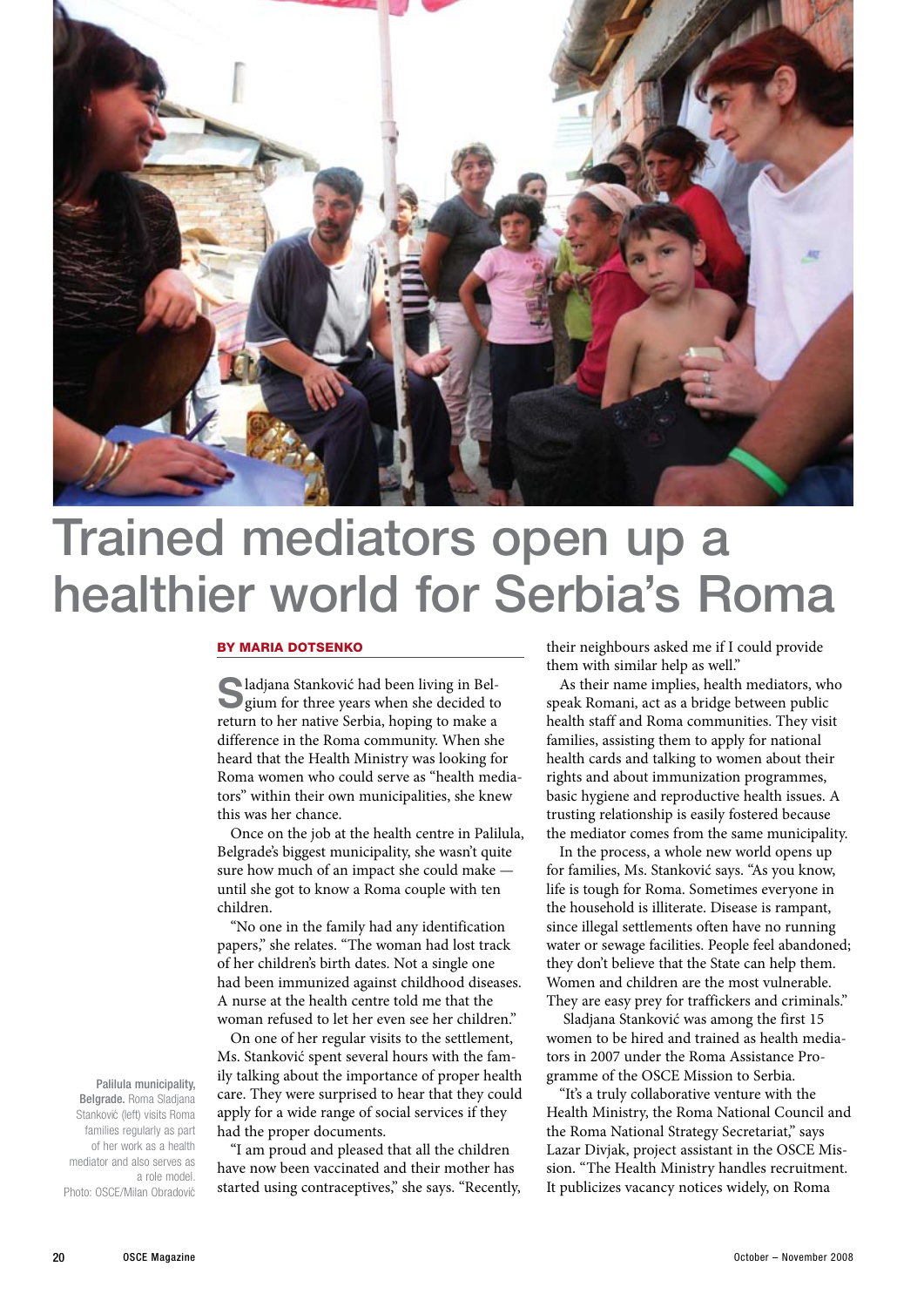

### Trained mediators open up a healthier world for Serbia's Roma

#### By Maria Dotsenko

**S**ladjana Stanković had been living in Bel-gium for three years when she decided to return to her native Serbia, hoping to make a difference in the Roma community. When she heard that the Health Ministry was looking for Roma women who could serve as "health mediators" within their own municipalities, she knew this was her chance.

Once on the job at the health centre in Palilula, Belgrade's biggest municipality, she wasn't quite sure how much of an impact she could make until she got to know a Roma couple with ten children.

"No one in the family had any identification papers," she relates. "The woman had lost track of her children's birth dates. Not a single one had been immunized against childhood diseases. A nurse at the health centre told me that the woman refused to let her even see her children."

On one of her regular visits to the settlement, Ms. Stanković spent several hours with the family talking about the importance of proper health care. They were surprised to hear that they could apply for a wide range of social services if they had the proper documents.

"I am proud and pleased that all the children have now been vaccinated and their mother has started using contraceptives," she says. "Recently,

their neighbours asked me if I could provide them with similar help as well."

As their name implies, health mediators, who speak Romani, act as a bridge between public health staff and Roma communities. They visit families, assisting them to apply for national health cards and talking to women about their rights and about immunization programmes, basic hygiene and reproductive health issues. A trusting relationship is easily fostered because the mediator comes from the same municipality.

In the process, a whole new world opens up for families, Ms. Stanković says. "As you know, life is tough for Roma. Sometimes everyone in the household is illiterate. Disease is rampant, since illegal settlements often have no running water or sewage facilities. People feel abandoned; they don't believe that the State can help them. Women and children are the most vulnerable. They are easy prey for traffickers and criminals."

 Sladjana Stanković was among the first 15 women to be hired and trained as health mediators in 2007 under the Roma Assistance Programme of the OSCE Mission to Serbia.

"It's a truly collaborative venture with the Health Ministry, the Roma National Council and the Roma National Strategy Secretariat," says Lazar Divjak, project assistant in the OSCE Mission. "The Health Ministry handles recruitment. It publicizes vacancy notices widely, on Roma

Palilula municipality, Belgrade. Roma Sladjana Stanković (left) visits Roma families regularly as part of her work as a health mediator and also serves as a role model. Photo: OSCE/Milan Obradović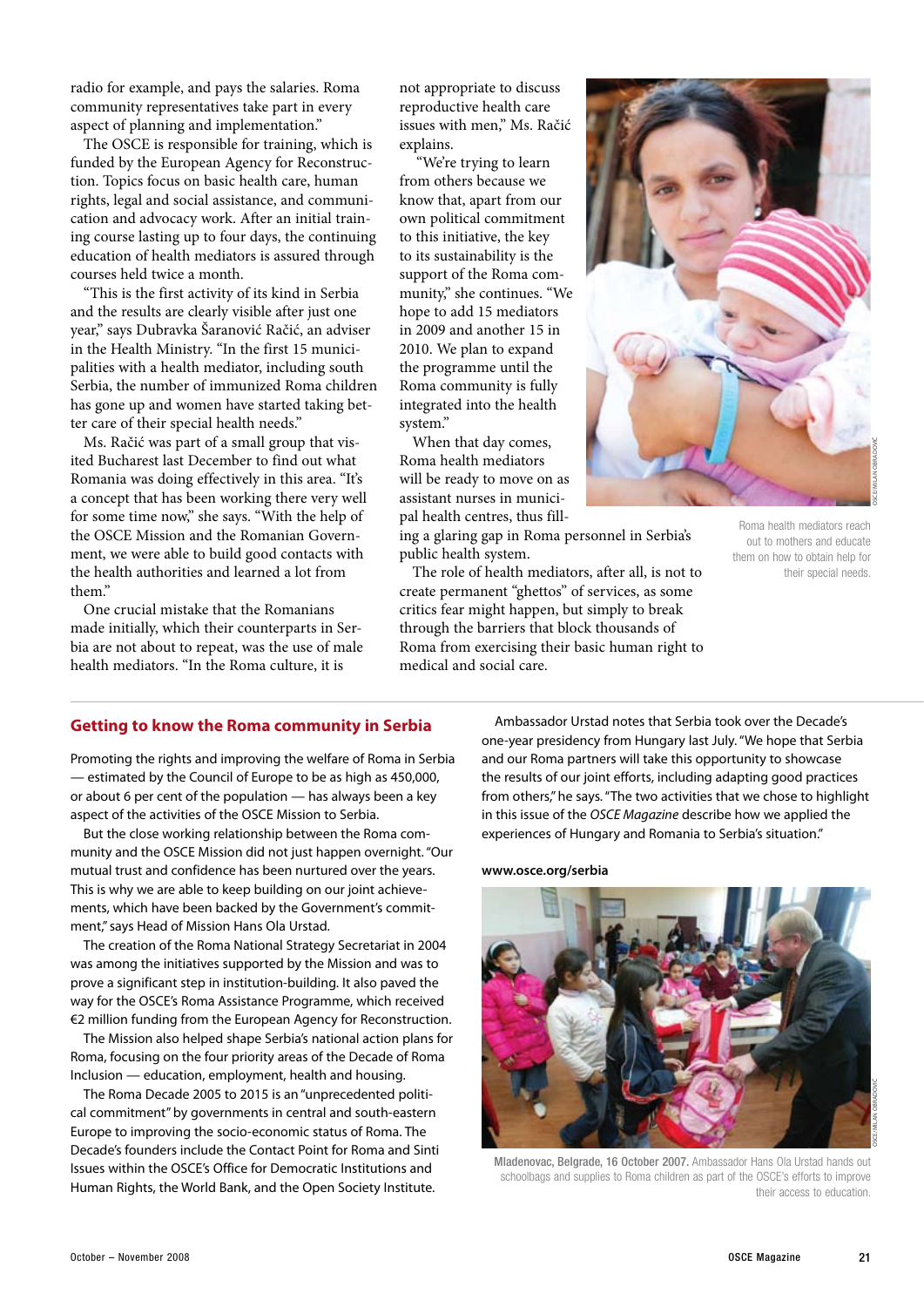radio for example, and pays the salaries. Roma community representatives take part in every aspect of planning and implementation."

The OSCE is responsible for training, which is funded by the European Agency for Reconstruction. Topics focus on basic health care, human rights, legal and social assistance, and communication and advocacy work. After an initial training course lasting up to four days, the continuing education of health mediators is assured through courses held twice a month.

"This is the first activity of its kind in Serbia and the results are clearly visible after just one year," says Dubravka Šaranović Račić, an adviser in the Health Ministry. "In the first 15 municipalities with a health mediator, including south Serbia, the number of immunized Roma children has gone up and women have started taking better care of their special health needs."

Ms. Račić was part of a small group that visited Bucharest last December to find out what Romania was doing effectively in this area. "It's a concept that has been working there very well for some time now," she says. "With the help of the OSCE Mission and the Romanian Government, we were able to build good contacts with the health authorities and learned a lot from them"

One crucial mistake that the Romanians made initially, which their counterparts in Serbia are not about to repeat, was the use of male health mediators. "In the Roma culture, it is

not appropriate to discuss reproductive health care issues with men," Ms. Račić explains.

 "We're trying to learn from others because we know that, apart from our own political commitment to this initiative, the key to its sustainability is the support of the Roma community," she continues. "We hope to add 15 mediators in 2009 and another 15 in 2010. We plan to expand the programme until the Roma community is fully integrated into the health system."

When that day comes, Roma health mediators will be ready to move on as assistant nurses in municipal health centres, thus fill-

ing a glaring gap in Roma personnel in Serbia's public health system.

The role of health mediators, after all, is not to create permanent "ghettos" of services, as some critics fear might happen, but simply to break through the barriers that block thousands of Roma from exercising their basic human right to medical and social care.

Roma health mediators reach out to mothers and educate them on how to obtain help for their special needs.

**Getting to know the Roma community in Serbia**

Promoting the rights and improving the welfare of Roma in Serbia — estimated by the Council of Europe to be as high as 450,000, or about 6 per cent of the population — has always been a key aspect of the activities of the OSCE Mission to Serbia.

But the close working relationship between the Roma community and the OSCE Mission did not just happen overnight. "Our mutual trust and confidence has been nurtured over the years. This is why we are able to keep building on our joint achievements, which have been backed by the Government's commitment," says Head of Mission Hans Ola Urstad.

The creation of the Roma National Strategy Secretariat in 2004 was among the initiatives supported by the Mission and was to prove a significant step in institution-building. It also paved the way for the OSCE's Roma Assistance Programme, which received €2 million funding from the European Agency for Reconstruction.

The Mission also helped shape Serbia's national action plans for Roma, focusing on the four priority areas of the Decade of Roma Inclusion — education, employment, health and housing.

The Roma Decade 2005 to 2015 is an "unprecedented political commitment" by governments in central and south-eastern Europe to improving the socio-economic status of Roma. The Decade's founders include the Contact Point for Roma and Sinti Issues within the OSCE's Office for Democratic Institutions and Human Rights, the World Bank, and the Open Society Institute.

Ambassador Urstad notes that Serbia took over the Decade's one-year presidency from Hungary last July. "We hope that Serbia and our Roma partners will take this opportunity to showcase the results of our joint efforts, including adapting good practices from others," he says. "The two activities that we chose to highlight in this issue of the *OSCE Magazine* describe how we applied the experiences of Hungary and Romania to Serbia's situation."

#### **www.osce.org/serbia**

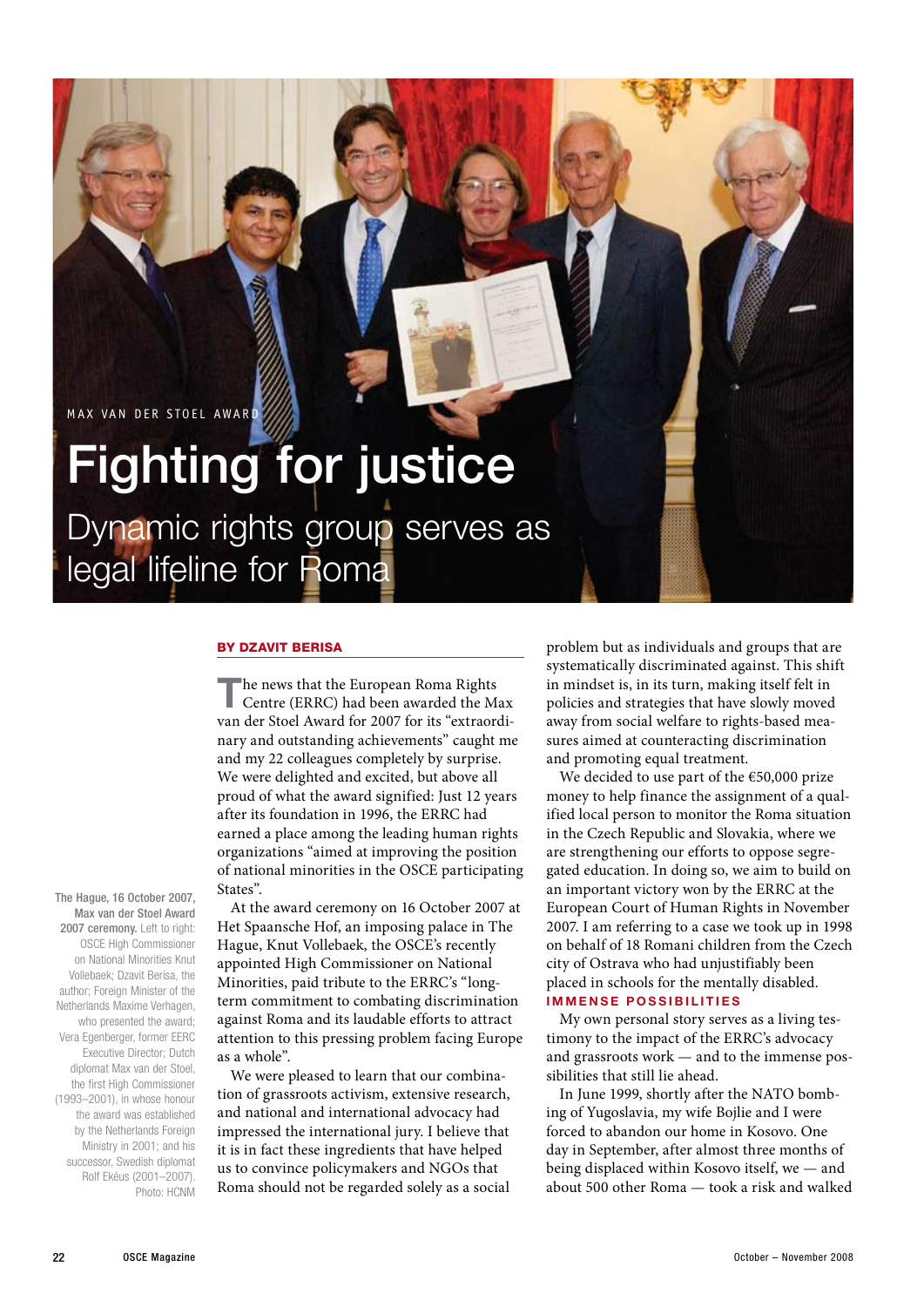MAX VAN DER STOEL AWARD

# Fighting for justice

Dynamic rights group serves as legal lifeline for Roma

### By Dzavit Berisa

**T**he news that the European Roma Rights Centre (ERRC) had been awarded the Max van der Stoel Award for 2007 for its "extraordinary and outstanding achievements" caught me and my 22 colleagues completely by surprise. We were delighted and excited, but above all proud of what the award signified: Just 12 years after its foundation in 1996, the ERRC had earned a place among the leading human rights organizations "aimed at improving the position of national minorities in the OSCE participating States".

At the award ceremony on 16 October 2007 at Het Spaansche Hof, an imposing palace in The Hague, Knut Vollebaek, the OSCE's recently appointed High Commissioner on National Minorities, paid tribute to the ERRC's "longterm commitment to combating discrimination against Roma and its laudable efforts to attract attention to this pressing problem facing Europe as a whole".

We were pleased to learn that our combination of grassroots activism, extensive research, and national and international advocacy had impressed the international jury. I believe that it is in fact these ingredients that have helped us to convince policymakers and NGOs that Roma should not be regarded solely as a social

problem but as individuals and groups that are systematically discriminated against. This shift in mindset is, in its turn, making itself felt in policies and strategies that have slowly moved away from social welfare to rights-based measures aimed at counteracting discrimination and promoting equal treatment.

We decided to use part of the €50,000 prize money to help finance the assignment of a qualified local person to monitor the Roma situation in the Czech Republic and Slovakia, where we are strengthening our efforts to oppose segregated education. In doing so, we aim to build on an important victory won by the ERRC at the European Court of Human Rights in November 2007. I am referring to a case we took up in 1998 on behalf of 18 Romani children from the Czech city of Ostrava who had unjustifiably been placed in schools for the mentally disabled. **I mme n se possibi l i t ies**

My own personal story serves as a living testimony to the impact of the ERRC's advocacy and grassroots work — and to the immense possibilities that still lie ahead.

In June 1999, shortly after the NATO bombing of Yugoslavia, my wife Bojlie and I were forced to abandon our home in Kosovo. One day in September, after almost three months of being displaced within Kosovo itself, we — and about 500 other Roma — took a risk and walked

The Hague, 16 October 2007, Max van der Stoel Award 2007 ceremony. Left to right: OSCE High Commissioner on National Minorities Knut Vollebaek; Dzavit Berisa, the author; Foreign Minister of the Netherlands Maxime Verhagen, who presented the award; Vera Egenberger, former EERC Executive Director; Dutch diplomat Max van der Stoel, the first High Commissioner  $(1993-2001)$  in whose honour the award was established by the Netherlands Foreign Ministry in 2001; and his successor, Swedish diplomat Rolf Ekéus (2001–2007).

Photo: HCNM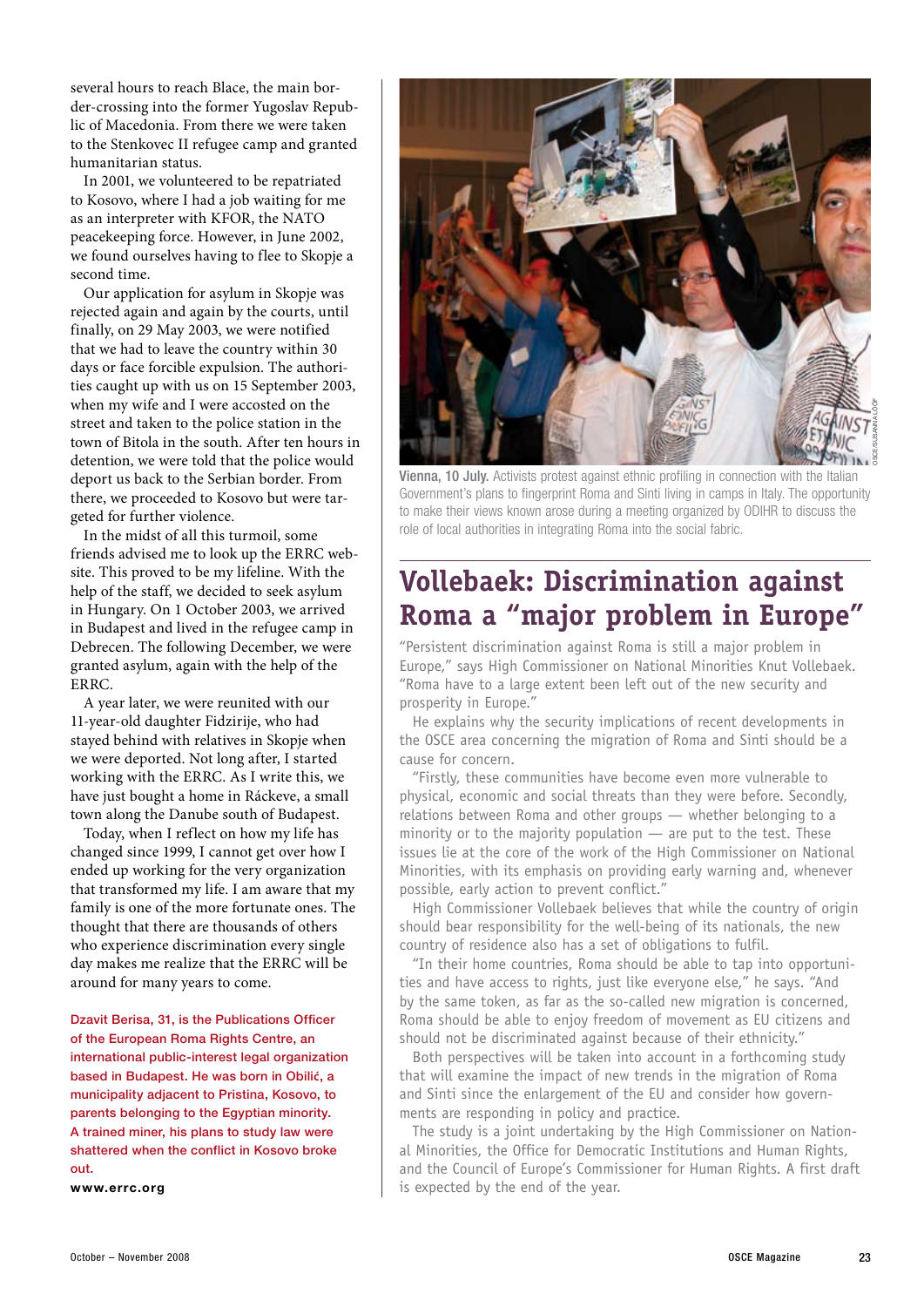several hours to reach Blace, the main border-crossing into the former Yugoslav Republic of Macedonia. From there we were taken to the Stenkovec II refugee camp and granted humanitarian status.

In 2001, we volunteered to be repatriated to Kosovo, where I had a job waiting for me as an interpreter with KFOR, the NATO peacekeeping force. However, in June 2002, we found ourselves having to flee to Skopje a second time.

Our application for asylum in Skopje was rejected again and again by the courts, until finally, on 29 May 2003, we were notified that we had to leave the country within 30 days or face forcible expulsion. The authorities caught up with us on 15 September 2003, when my wife and I were accosted on the street and taken to the police station in the town of Bitola in the south. After ten hours in detention, we were told that the police would deport us back to the Serbian border. From there, we proceeded to Kosovo but were targeted for further violence.

In the midst of all this turmoil, some friends advised me to look up the ERRC website. This proved to be my lifeline. With the help of the staff, we decided to seek asylum in Hungary. On 1 October 2003, we arrived in Budapest and lived in the refugee camp in Debrecen. The following December, we were granted asylum, again with the help of the ERRC.

A year later, we were reunited with our 11-year-old daughter Fidzirije, who had stayed behind with relatives in Skopje when we were deported. Not long after, I started working with the ERRC. As I write this, we have just bought a home in Ráckeve, a small town along the Danube south of Budapest.

Today, when I reflect on how my life has changed since 1999, I cannot get over how I ended up working for the very organization that transformed my life. I am aware that my family is one of the more fortunate ones. The thought that there are thousands of others who experience discrimination every single day makes me realize that the ERRC will be around for many years to come.

Dzavit Berisa, 31, is the Publications Officer of the European Roma Rights Centre, an international public-interest legal organization based in Budapest. He was born in Obili**ć**, a municipality adjacent to Pristina, Kosovo, to parents belonging to the Egyptian minority. A trained miner, his plans to study law were shattered when the conflict in Kosovo broke out.

**www.errc.org**



Vienna, 10 July. Activists protest against ethnic profiling in connection with the Italian Government's plans to fingerprint Roma and Sinti living in camps in Italy. The opportunity to make their views known arose during a meeting organized by ODIHR to discuss the role of local authorities in integrating Roma into the social fabric.

### **Vollebaek: Discrimination against Roma a "major problem in Europe"**

"Persistent discrimination against Roma is still a major problem in Europe," says High Commissioner on National Minorities Knut Vollebaek. "Roma have to a large extent been left out of the new security and prosperity in Europe."

He explains why the security implications of recent developments in the OSCE area concerning the migration of Roma and Sinti should be a cause for concern.

"Firstly, these communities have become even more vulnerable to physical, economic and social threats than they were before. Secondly, relations between Roma and other groups — whether belonging to a minority or to the majority population — are put to the test. These issues lie at the core of the work of the High Commissioner on National Minorities, with its emphasis on providing early warning and, whenever possible, early action to prevent conflict."

High Commissioner Vollebaek believes that while the country of origin should bear responsibility for the well-being of its nationals, the new country of residence also has a set of obligations to fulfil.

"In their home countries, Roma should be able to tap into opportunities and have access to rights, just like everyone else," he says. "And by the same token, as far as the so-called new migration is concerned, Roma should be able to enjoy freedom of movement as EU citizens and should not be discriminated against because of their ethnicity."

Both perspectives will be taken into account in a forthcoming study that will examine the impact of new trends in the migration of Roma and Sinti since the enlargement of the EU and consider how governments are responding in policy and practice.

The study is a joint undertaking by the High Commissioner on National Minorities, the Office for Democratic Institutions and Human Rights, and the Council of Europe's Commissioner for Human Rights. A first draft is expected by the end of the year.